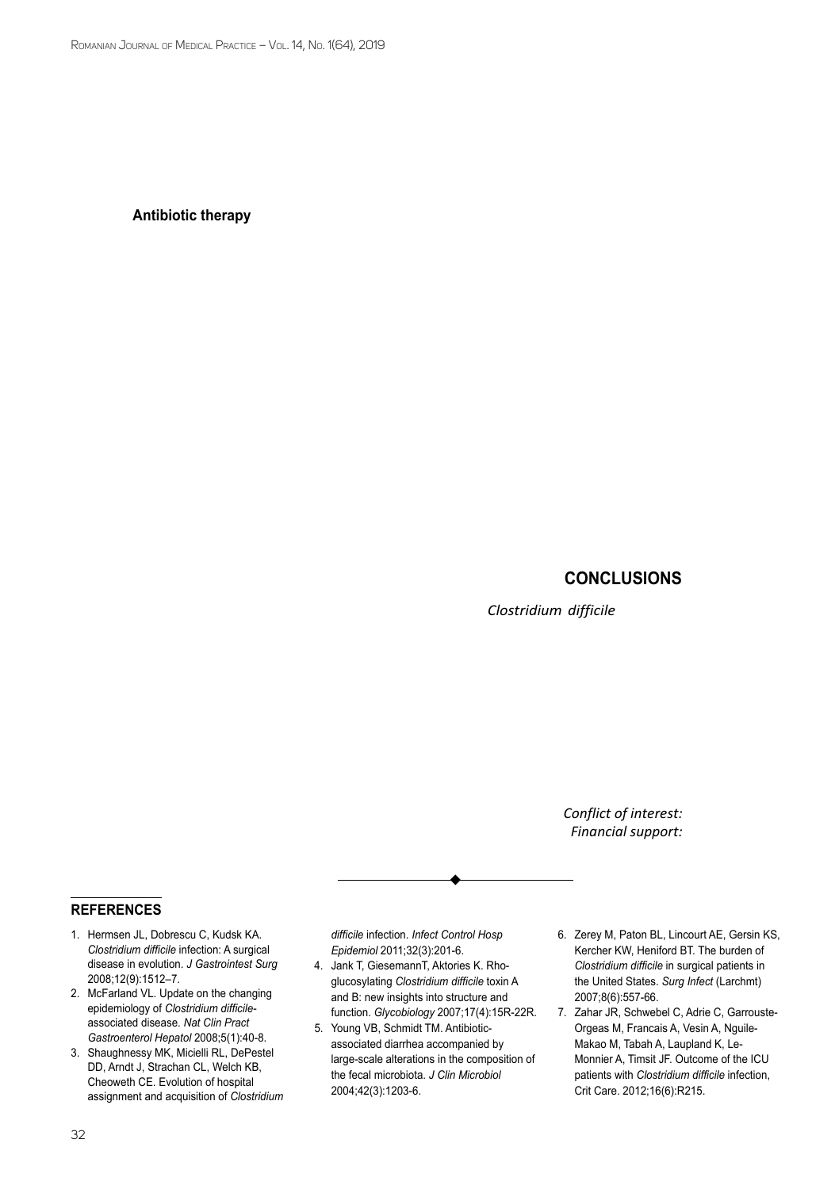series of imaging testing: CT scan in Clostridium difficile colitis, endoscopy - it can deliver a rapid diagnosis if pseudomembranes are visualized. Nevertheless, the use of endoscopy is rarely recommended in the setting of colitis, because of the high risk of perforation (10).

## **Antibiotic therapy**

First of all, when CDI is suspected, all unnecessary antibiotic agents will be discontinued. In mild-to-moderate cases, it is believed that oral metronidazole 500 mg three times per day for 10 days may be a successful treatment. Although metronidazole may be associated with more frequent side effects, in patients with an initial episode of non-severe CDI it is preferred, when access to vancomycin or fidaxomicin is limited (11-12). However, recent data have suggested an overall superiority of vancomycin to metronidazole for treatment of patients with CDI. Oral vancomycin 125mg four times a day for 10 days is recommended as first choice also for moderate cases (9).

In patients in whom oral antibiotics cannot be administrated, it is not recommended the intravenous administration. Intravenous vancomycin has no effect on CDI since the antibiotic is not excreted into the colon. A good alternative is vancomycin enema, especially for patients who cannot tolerate oral preparation - patients with ileus (12). In surgical patients with Hartmann resection, ileostomy, trans-stoma vancomycin may also be effective.

A valid alternative to vancomycin may be fidaxomicin administrated 200mg twice a day for a period of 10 days. Recent data showed that fidaxomicin is useful for patients who are considered at high risk of recurrence.

Patients with severe C. difficile infection, fulminant colitis, that progresses to systemic toxicity, and patients with organ failure require early surgical intervention. Nevertheless, emergency surgery for fulminant colitis will increase the mortality; bad prognostic factors are prolonged preoperative intubation, acute renal failure, multiple organ failure (13). In these cases, before surgery, patients with fulminant colitis should be treated with high doses of vancomycin, oral and enema, in combination with intravenous metronidazole.

An effective option for patients with multiple recurrences of CDI with failure of antibiotic treatment, may be the fecal microbiota transplant (FMT). Although fecal microbiota transplant has great success rates with long term durability, some disadvantages still exist (14): the laborious manipulation of feces and the enteral administration, the big costs of preparing the samples, making this treatment likely unattractive for both patients and physicians. The encapsulated preparation of FMT is a less invasive and also improved concept, that recently has had success.

## **Conclusions**

*Clostridium difficile* infection has become a global public challenge, do to the increase of incidence worldwide, esspecially among surgical patients. Therefore, a better management of the disease by optimization of the perioperative treatment, postoperative care, immediate diagnosis of CDI and implementation of infection prevention and control strategies are of greatest importance in controlling this challenging infection.

> *Conflict of interest:* none declared *Financial support:* none declared

## **references**

- 1. Hermsen JL, Dobrescu C, Kudsk KA. *Clostridium difficile* infection: A surgical disease in evolution. *J Gastrointest Surg* 2008;12(9):1512–7.
- 2. McFarland VL. Update on the changing epidemiology of *Clostridium difficile*associated disease. *Nat Clin Pract Gastroenterol Hepatol* 2008;5(1):40-8.
- 3. Shaughnessy MK, Micielli RL, DePestel DD, Arndt J, Strachan CL, Welch KB, Cheoweth CE. Evolution of hospital assignment and acquisition of *Clostridium*

*difficile* infection. *Infect Control Hosp Epidemiol* 2011;32(3):201-6.

- 4. Jank T, GiesemannT, Aktories K. Rhoglucosylating *Clostridium difficile* toxin A and B: new insights into structure and function. *Glycobiology* 2007;17(4):15R-22R.
- 5. Young VB, Schmidt TM. Antibioticassociated diarrhea accompanied by large-scale alterations in the composition of the fecal microbiota. *J Clin Microbiol* 2004;42(3):1203-6.
- 6. Zerey M, Paton BL, Lincourt AE, Gersin KS, Kercher KW, Heniford BT. The burden of *Clostridium difficile* in surgical patients in the United States. *Surg Infect* (Larchmt) 2007;8(6):557-66.
- 7. Zahar JR, Schwebel C, Adrie C, Garrouste-Orgeas M, Francais A, Vesin A, Nguile-Makao M, Tabah A, Laupland K, Le-Monnier A, Timsit JF. Outcome of the ICU patients with *Clostridium difficile* infection, Crit Care. 2012;16(6):R215.